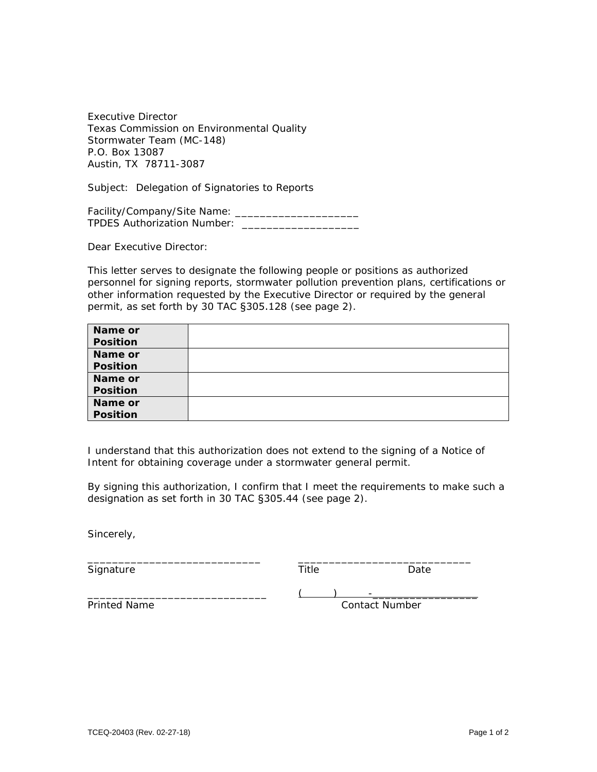Executive Director Texas Commission on Environmental Quality Stormwater Team (MC-148) P.O. Box 13087 Austin, TX 78711-3087

Subject: Delegation of Signatories to Reports

Facility/Company/Site Name: \_\_\_\_\_\_\_\_\_\_\_\_\_\_\_\_\_\_\_\_ TPDES Authorization Number: \_\_\_\_\_\_\_\_\_\_\_\_\_\_\_\_\_\_\_

Dear Executive Director:

This letter serves to designate the following people or positions as authorized personnel for signing reports, stormwater pollution prevention plans, certifications or other information requested by the Executive Director or required by the general permit, as set forth by 30 TAC §305.128 (see page 2).

| Name or  |  |
|----------|--|
| Position |  |
| Name or  |  |
| Position |  |
| Name or  |  |
| Position |  |
| Name or  |  |
| Position |  |

I understand that this authorization does not extend to the signing of a Notice of Intent for obtaining coverage under a stormwater general permit.

\_\_\_\_\_\_\_\_\_\_\_\_\_\_\_\_\_\_\_\_\_\_\_\_\_\_\_\_ \_\_\_\_\_\_\_\_\_\_\_\_\_\_\_\_\_\_\_\_\_\_\_\_\_\_\_\_

By signing this authorization, I confirm that I meet the requirements to make such a designation as set forth in 30 TAC §305.44 (see page 2).

Sincerely,

Signature Date Date Date Date

\_\_\_\_\_\_\_\_\_\_\_\_\_\_\_\_\_\_\_\_\_\_\_\_\_\_\_\_\_ ( ) -\_\_\_\_\_\_\_\_\_\_\_\_\_\_\_\_\_ Printed Name **Contact Number** Contact Number